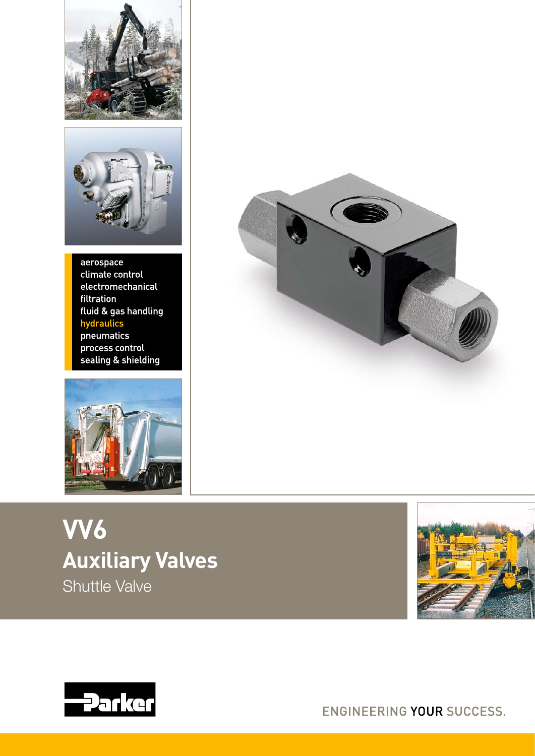



aerospace climate control electromechanical filtration fluid & gas handling<br>hydraulics pneumatics process control sealing & shielding









ENGINEERING YOUR SUCCESS.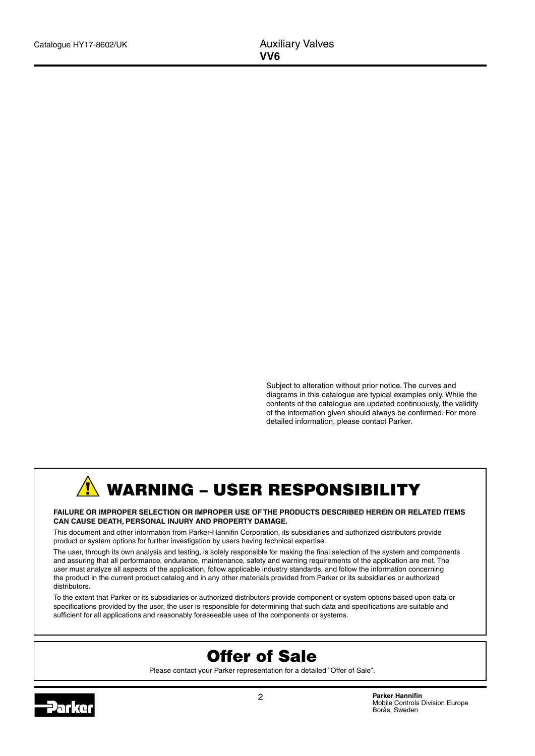Subject to alteration without prior notice. The curves and diagrams in this catalogue are typical examples only. While the contents of the catalogue are updated continuously, the validity of the information given should always be confirmed. For more detailed information, please contact Parker.

# WARNING – USER RESPONSIBILITY

#### **FAILURE OR IMPROPER SELECTION OR IMPROPER USE OF THE PRODUCTS DESCRIBED HEREIN OR RELATED ITEMS CAN CAUSE DEATH, PERSONAL INJURY AND PROPERTY DAMAGE.**

This document and other information from Parker-Hannifin Corporation, its subsidiaries and authorized distributors provide product or system options for further investigation by users having technical expertise.

The user, through its own analysis and testing, is solely responsible for making the final selection of the system and components and assuring that all performance, endurance, maintenance, safety and warning requirements of the application are met. The user must analyze all aspects of the application, follow applicable industry standards, and follow the information concerning the product in the current product catalog and in any other materials provided from Parker or its subsidiaries or authorized distributors.

To the extent that Parker or its subsidiaries or authorized distributors provide component or system options based upon data or specifications provided by the user, the user is responsible for determining that such data and specifications are suitable and sufficient for all applications and reasonably foreseeable uses of the components or systems.

## Offer of Sale

Please contact your Parker representation for a detailed "Offer of Sale".

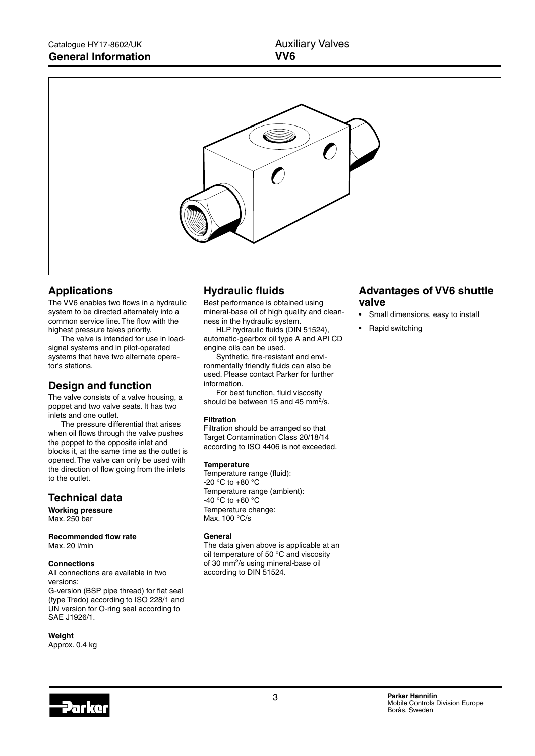

## **Applications**

The VV6 enables two flows in a hydraulic system to be directed alternately into a common service line. The flow with the highest pressure takes priority.

The valve is intended for use in loadsignal systems and in pilot-operated systems that have two alternate operator's stations.

## **Design and function**

The valve consists of a valve housing, a poppet and two valve seats. It has two inlets and one outlet.

The pressure differential that arises when oil flows through the valve pushes the poppet to the opposite inlet and blocks it, at the same time as the outlet is opened. The valve can only be used with the direction of flow going from the inlets to the outlet.

## **Technical data**

**Working pressure** Max. 250 bar

**Recommended flow rate** Max. 20 l/min

#### **Connections**

All connections are available in two versions:

G-version (BSP pipe thread) for flat seal (type Tredo) according to ISO 228/1 and UN version for O-ring seal according to SAE J1926/1.

#### **Weight**

Approx. 0.4 kg

## **Hydraulic fluids**

Best performance is obtained using mineral-base oil of high quality and cleanness in the hydraulic system.

HLP hydraulic fluids (DIN 51524), automatic-gearbox oil type A and API CD engine oils can be used.

Synthetic, fire-resistant and environmentally friendly fluids can also be used. Please contact Parker for further information.

For best function, fluid viscosity should be between 15 and 45  $\text{mm}^2/\text{s}$ .

#### **Filtration**

Filtration should be arranged so that Target Contamination Class 20/18/14 according to ISO 4406 is not exceeded.

#### **Temperature**

Temperature range (fluid): -20 °C to +80 °C Temperature range (ambient): -40 °C to +60 °C Temperature change: Max. 100 °C/s

#### **General**

The data given above is applicable at an oil temperature of 50 °C and viscosity of 30 mm2/s using mineral-base oil according to DIN 51524.

### **Advantages of VV6 shuttle valve**

- • Small dimensions, easy to install
- Rapid switching

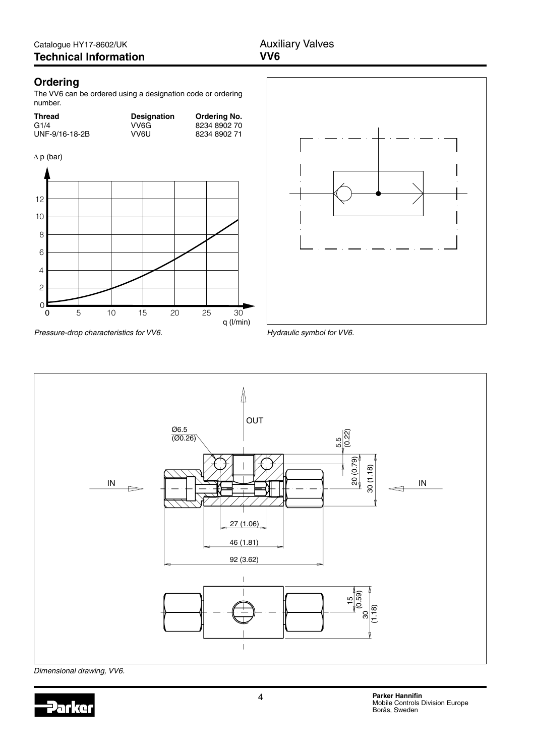### Catalogue HY17-8602/UK **Technical Information**

## **Ordering**

The VV6 can be ordered using a designation code or ordering number.

| <b>Thread</b>  | <b>Designation</b> | Ordering No. |
|----------------|--------------------|--------------|
| G1/4           | VV6G               | 8234 8902 70 |
| UNF-9/16-18-2B | VV6U               | 8234 8902 71 |

∆ p (bar)





*Pressure-drop characteristics for VV6. Hydraulic symbol for VV6.*





*Dimensional drawing, VV6.*

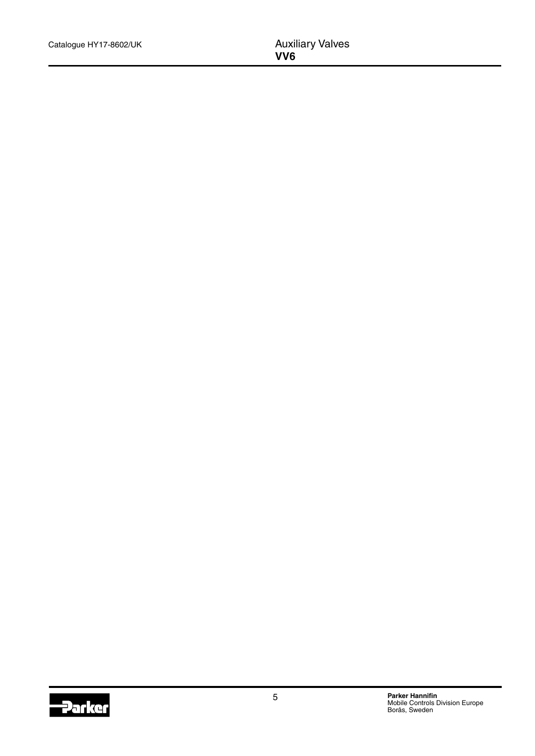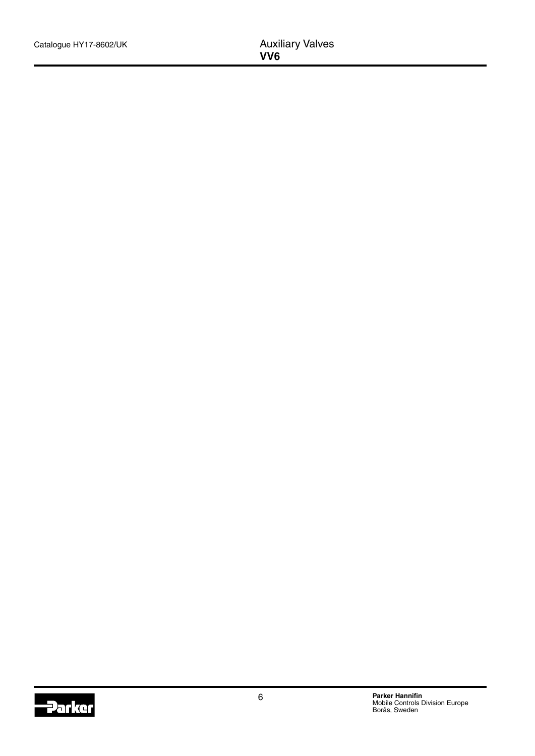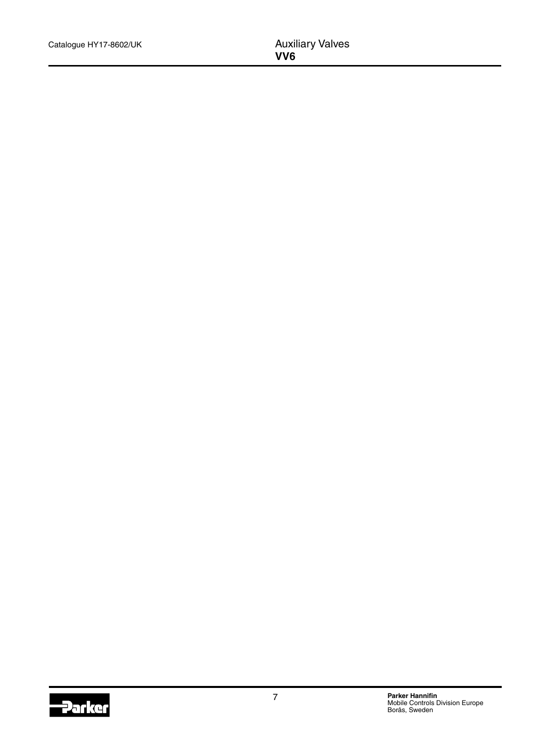